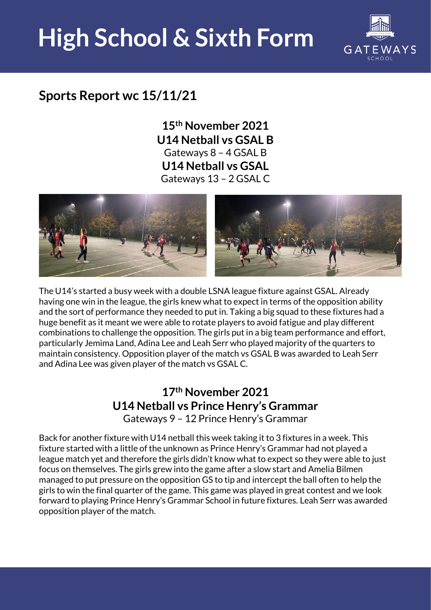## **High School & Sixth Form**



### **Sports Report wc 15/11/21**

**15th November 2021 U14 Netball vs GSAL B**  Gateways 8 – 4 GSAL B **U14 Netball vs GSAL**  Gateways 13 – 2 GSAL C



The U14's started a busy week with a double LSNA league fixture against GSAL. Already having one win in the league, the girls knew what to expect in terms of the opposition ability and the sort of performance they needed to put in. Taking a big squad to these fixtures had a huge benefit as it meant we were able to rotate players to avoid fatigue and play different combinations to challenge the opposition. The girls put in a big team performance and effort, particularly Jemima Land, Adina Lee and Leah Serr who played majority of the quarters to maintain consistency. Opposition player of the match vs GSAL B was awarded to Leah Serr and Adina Lee was given player of the match vs GSAL C.

#### **17th November 2021 U14 Netball vs Prince Henry's Grammar**  Gateways 9 – 12 Prince Henry's Grammar

Back for another fixture with U14 netball this week taking it to 3 fixtures in a week. This fixture started with a little of the unknown as Prince Henry's Grammar had not played a league match yet and therefore the girls didn't know what to expect so they were able to just focus on themselves. The girls grew into the game after a slow start and Amelia Bilmen managed to put pressure on the opposition GS to tip and intercept the ball often to help the girls to win the final quarter of the game. This game was played in great contest and we look forward to playing Prince Henry's Grammar School in future fixtures. Leah Serr was awarded opposition player of the match.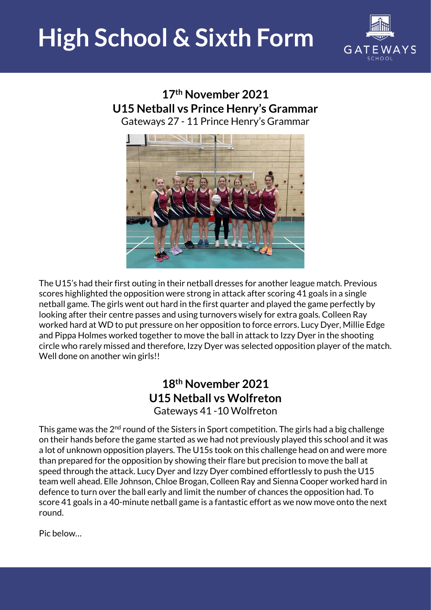### **High School & Sixth Form**



#### **17th November 2021 U15 Netball vs Prince Henry's Grammar**  Gateways 27 - 11 Prince Henry's Grammar



The U15's had their first outing in their netball dresses for another league match. Previous scores highlighted the opposition were strong in attack after scoring 41 goals in a single netball game. The girls went out hard in the first quarter and played the game perfectly by looking after their centre passes and using turnovers wisely for extra goals. Colleen Ray worked hard at WD to put pressure on her opposition to force errors. Lucy Dyer, Millie Edge and Pippa Holmes worked together to move the ball in attack to Izzy Dyer in the shooting circle who rarely missed and therefore, Izzy Dyer was selected opposition player of the match. Well done on another win girls!!

#### **18th November 2021 U15 Netball vs Wolfreton**  Gateways 41 -10 Wolfreton

This game was the 2<sup>nd</sup> round of the Sisters in Sport competition. The girls had a big challenge on their hands before the game started as we had not previously played this school and it was a lot of unknown opposition players. The U15s took on this challenge head on and were more than prepared for the opposition by showing their flare but precision to move the ball at speed through the attack. Lucy Dyer and Izzy Dyer combined effortlessly to push the U15 team well ahead. Elle Johnson, Chloe Brogan, Colleen Ray and Sienna Cooper worked hard in defence to turn over the ball early and limit the number of chances the opposition had. To score 41 goals in a 40-minute netball game is a fantastic effort as we now move onto the next round.

Pic below…